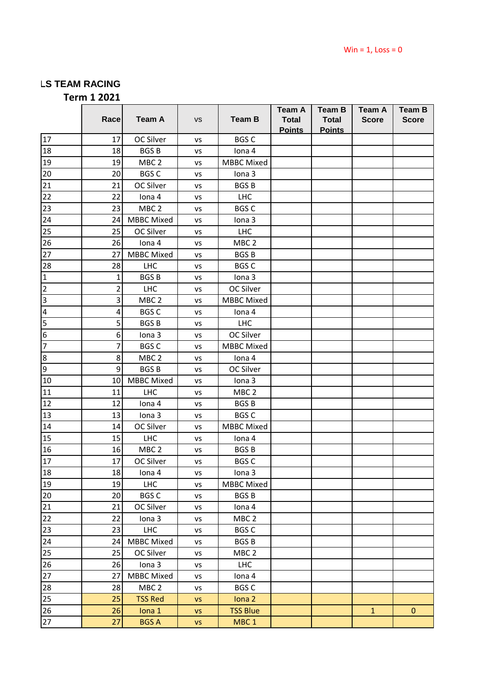## **LS TEAM RACING**

**Term 1 2021**

|                 |      |                   |           |                   | <b>Team A</b>                 | <b>Team B</b>                 | <b>Team A</b> | <b>Team B</b> |
|-----------------|------|-------------------|-----------|-------------------|-------------------------------|-------------------------------|---------------|---------------|
|                 | Race | <b>Team A</b>     | <b>VS</b> | <b>Team B</b>     | <b>Total</b><br><b>Points</b> | <b>Total</b><br><b>Points</b> | <b>Score</b>  | <b>Score</b>  |
| 17              | 17   | OC Silver         | VS        | <b>BGS C</b>      |                               |                               |               |               |
| 18              | 18   | <b>BGSB</b>       | VS        | lona 4            |                               |                               |               |               |
| 19              | 19   | MBC <sub>2</sub>  | VS        | <b>MBBC</b> Mixed |                               |                               |               |               |
| 20              | 20   | <b>BGSC</b>       | VS        | Iona 3            |                               |                               |               |               |
| 21              | 21   | OC Silver         | VS        | <b>BGSB</b>       |                               |                               |               |               |
| 22              | 22   | Iona 4            | VS        | <b>LHC</b>        |                               |                               |               |               |
| 23              | 23   | MBC <sub>2</sub>  | VS        | <b>BGS C</b>      |                               |                               |               |               |
| 24              | 24   | <b>MBBC</b> Mixed | VS        | Iona 3            |                               |                               |               |               |
| 25              | 25   | OC Silver         | VS        | <b>LHC</b>        |                               |                               |               |               |
| 26              | 26   | Iona 4            | VS        | MBC <sub>2</sub>  |                               |                               |               |               |
| 27              | 27   | <b>MBBC</b> Mixed | VS        | <b>BGSB</b>       |                               |                               |               |               |
| 28              | 28   | <b>LHC</b>        | VS        | <b>BGS C</b>      |                               |                               |               |               |
| $\mathbf{1}$    | 1    | <b>BGSB</b>       | VS        | Iona 3            |                               |                               |               |               |
| $\overline{2}$  | 2    | LHC               | VS        | OC Silver         |                               |                               |               |               |
| $\overline{3}$  | 3    | MBC <sub>2</sub>  | VS        | <b>MBBC</b> Mixed |                               |                               |               |               |
| $\overline{4}$  | 4    | <b>BGS C</b>      | VS        | lona 4            |                               |                               |               |               |
| $\overline{5}$  | 5    | <b>BGSB</b>       | ٧S        | <b>LHC</b>        |                               |                               |               |               |
| $\overline{6}$  | 6    | Iona <sub>3</sub> | VS        | OC Silver         |                               |                               |               |               |
| 7               | 7    | <b>BGS C</b>      | ٧S        | <b>MBBC</b> Mixed |                               |                               |               |               |
| 8               | 8    | MBC <sub>2</sub>  | VS        | lona 4            |                               |                               |               |               |
| g               | 9    | <b>BGSB</b>       | VS        | OC Silver         |                               |                               |               |               |
| 10              | 10   | <b>MBBC</b> Mixed | VS        | Iona 3            |                               |                               |               |               |
| 11              | 11   | <b>LHC</b>        | VS        | MBC <sub>2</sub>  |                               |                               |               |               |
| 12              | 12   | Iona 4            | VS        | <b>BGSB</b>       |                               |                               |               |               |
| 13              | 13   | Iona 3            | VS        | <b>BGS C</b>      |                               |                               |               |               |
| 14              | 14   | OC Silver         | VS        | <b>MBBC</b> Mixed |                               |                               |               |               |
| 15              | 15   | <b>LHC</b>        | VS        | lona 4            |                               |                               |               |               |
| 16              | 16   | MBC <sub>2</sub>  | VS        | <b>BGSB</b>       |                               |                               |               |               |
| 17              | 17   | OC Silver         | VS        | <b>BGS C</b>      |                               |                               |               |               |
| 18              | 18   | lona 4            | VS        | Iona 3            |                               |                               |               |               |
| 19              | 19   | <b>LHC</b>        | VS        | <b>MBBC Mixed</b> |                               |                               |               |               |
| 20              | 20   | <b>BGS C</b>      | VS        | <b>BGSB</b>       |                               |                               |               |               |
| $\overline{21}$ | 21   | OC Silver         | VS        | lona 4            |                               |                               |               |               |
| 22              | 22   | Iona 3            | VS        | MBC <sub>2</sub>  |                               |                               |               |               |
| 23              | 23   | <b>LHC</b>        | VS        | <b>BGS C</b>      |                               |                               |               |               |
| 24              | 24   | <b>MBBC Mixed</b> | VS        | <b>BGSB</b>       |                               |                               |               |               |
| 25              | 25   | OC Silver         | VS        | MBC <sub>2</sub>  |                               |                               |               |               |
| 26              | 26   | Iona 3            | VS        | <b>LHC</b>        |                               |                               |               |               |
| 27              | 27   | <b>MBBC Mixed</b> | VS        | lona 4            |                               |                               |               |               |
| 28              | 28   | MBC <sub>2</sub>  | VS        | <b>BGS C</b>      |                               |                               |               |               |
| 25              | 25   | <b>TSS Red</b>    | <b>VS</b> | Iona <sub>2</sub> |                               |                               |               |               |
| 26              | 26   | Iona 1            | <b>VS</b> | <b>TSS Blue</b>   |                               |                               | $\mathbf 1$   | $\pmb{0}$     |
| 27              | 27   | <b>BGS A</b>      | VS        | MBC <sub>1</sub>  |                               |                               |               |               |